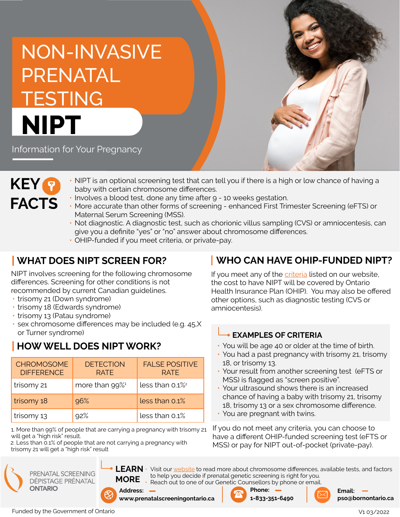# NON-INVASIVE PRENATAL TESTING **NIPT**

Information for Your Pregnancy



- NIPT is an optional screening test that can tell you if there is a high or low chance of having a baby with certain chromosome differences.
- Involves a blood test, done any time after 9 10 weeks gestation.
- More accurate than other forms of screening enhanced First Trimester Screening (eFTS) or Maternal Serum Screening (MSS).
- Not diagnostic. A diagnostic test, such as chorionic villus sampling (CVS) or amniocentesis, can give you a definite "yes" or "no" answer about chromosome differences.
- OHIP-funded if you meet criteria, or private-pay.

# **WHAT DOES NIPT SCREEN FOR?**

NIPT involves screening for the following chromosome differences. Screening for other conditions is not recommended by current Canadian guidelines.

- trisomy 21 (Down syndrome)
- trisomy 18 (Edwards syndrome)
- trisomy 13 (Patau syndrome)
- sex chromosome differences may be included (e.g. 45,X or Turner syndrome)

# **HOW WELL DOES NIPT WORK?**

| <b>CHROMOSOME</b><br><b>DIFFERENCE</b> | <b>DETECTION</b><br><b>RATE</b> | <b>FALSE POSITIVE</b><br><b>RATF</b> |
|----------------------------------------|---------------------------------|--------------------------------------|
| trisomy 21                             | more than $99\%$ <sup>1</sup>   | less than $0.1\%$ <sup>2</sup>       |
| trisomy 18                             | 96%                             | less than 0.1%                       |
| trisomy 13                             | 92%                             | less than 0.1%                       |

1. More than 99% of people that are carrying a pregnancy with trisomy 21 will get a "high risk" result.

2. Less than 0.1% of people that are not carrying a pregnancy with trisomy 21 will get a "high risk" result

PRENATAL SCREENING DÉPISTAGE PRÉNATAL **ONTARIO** 



LEARN • Visit our [website](https://prenatalscreeningontario.ca/en/pso/about-prenatal-screening/about-prenatal-screening.aspx) to read more about chromosome differences, available tests, and factors to help you decide if prenatal genetic screening is right for you. • Reach out to one of our Genetic Counsellors by phone or email.

# **WHO CAN HAVE OHIP-FUNDED NIPT?**

If you meet any of the [criteria](https://www.prenatalscreeningontario.ca/en/pso/about-prenatal-screening/nipt-funding-criteria.aspx) listed on our website, the cost to have NIPT will be covered by Ontario Health Insurance Plan (OHIP). You may also be offered other options, such as diagnostic testing (CVS or amniocentesis).

#### **EXAMPLES OF CRITERIA**

- You will be age 40 or older at the time of birth.
- You had a past pregnancy with trisomy 21, trisomy 18, or trisomy 13.
- Your result from another screening test (eFTS or MSS) is flagged as "screen positive".
- Your ultrasound shows there is an increased chance of having a baby with trisomy 21, trisomy 18, trisomy 13 or a sex chromosome difference.
- You are pregnant with twins.

If you do not meet any criteria, you can choose to have a different OHIP-funded screening test (eFTS or MSS) or pay for NIPT out-of-pocket (private-pay).

Funded by the Government of Ontario







V1 03/2022